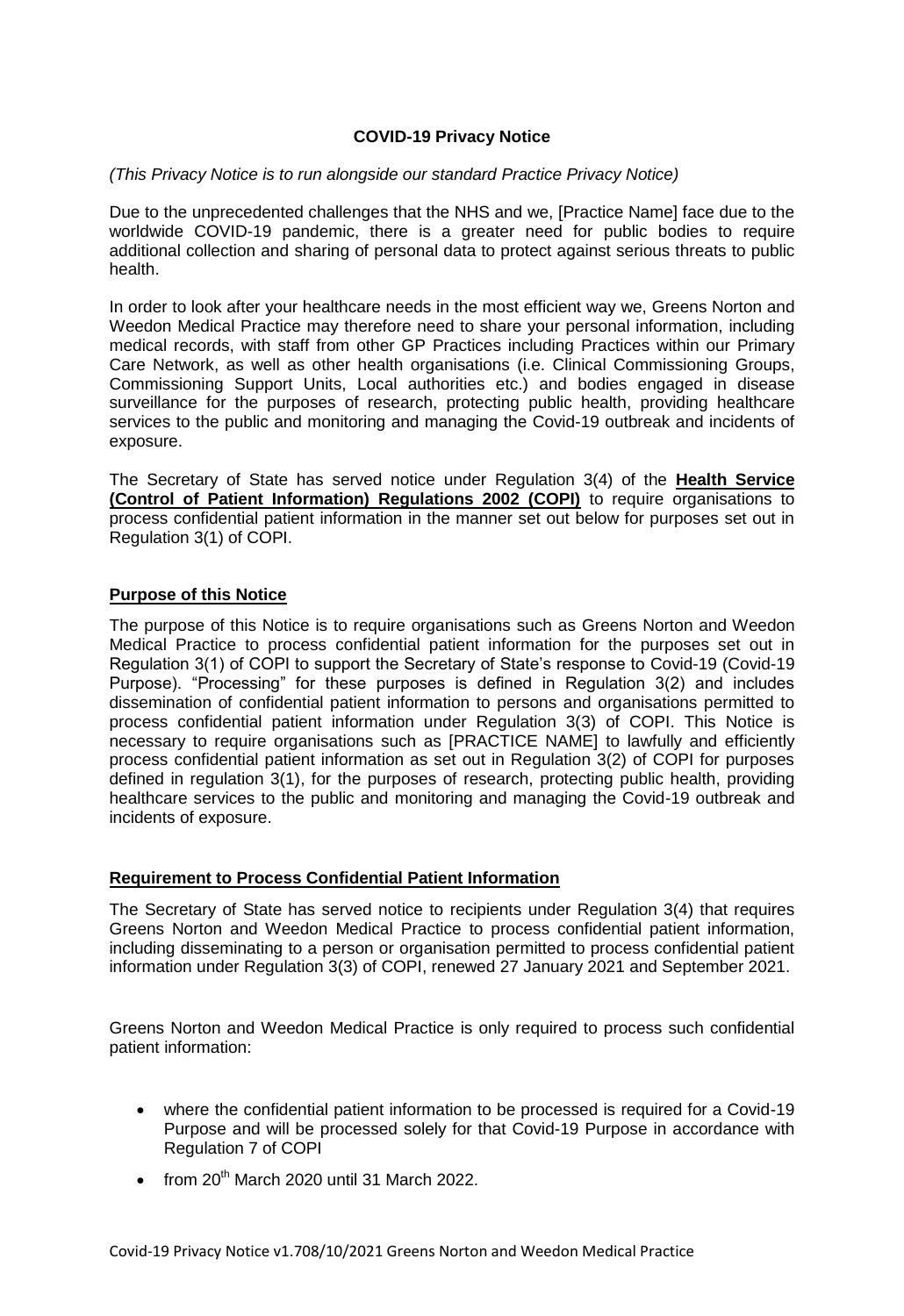# **COVID-19 Privacy Notice**

#### *(This Privacy Notice is to run alongside our standard Practice Privacy Notice)*

 Due to the unprecedented challenges that the NHS and we, [Practice Name] face due to the worldwide COVID-19 pandemic, there is a greater need for public bodies to require additional collection and sharing of personal data to protect against serious threats to public health.

health.<br>In order to look after your healthcare needs in the most efficient way we, Greens Norton and Weedon Medical Practice may therefore need to share your personal information, including medical records, with staff from other GP Practices including Practices within our Primary Care Network, as well as other health organisations (i.e. Clinical Commissioning Groups, Commissioning Support Units, Local authorities etc.) and bodies engaged in disease surveillance for the purposes of research, protecting public health, providing healthcare services to the public and monitoring and managing the Covid-19 outbreak and incidents of exposure.

 The Secretary of State has served notice under Regulation 3(4) of the **Health Service (Control of Patient Information) Regulations 2002 (COPI)** to require organisations to process confidential patient information in the manner set out below for purposes set out in Regulation 3(1) of COPI.

## **Purpose of this Notice**

 The purpose of this Notice is to require organisations such as Greens Norton and Weedon Medical Practice to process confidential patient information for the purposes set out in Regulation 3(1) of COPI to support the Secretary of State's response to Covid-19 (Covid-19 Purpose). "Processing" for these purposes is defined in Regulation 3(2) and includes dissemination of confidential patient information to persons and organisations permitted to process confidential patient information under Regulation 3(3) of COPI. This Notice is necessary to require organisations such as [PRACTICE NAME] to lawfully and efficiently process confidential patient information as set out in Regulation 3(2) of COPI for purposes defined in regulation 3(1), for the purposes of research, protecting public health, providing healthcare services to the public and monitoring and managing the Covid-19 outbreak and incidents of exposure.

#### **Requirement to Process Confidential Patient Information**

 The Secretary of State has served notice to recipients under Regulation 3(4) that requires Greens Norton and Weedon Medical Practice to process confidential patient information, including disseminating to a person or organisation permitted to process confidential patient information under Regulation 3(3) of COPI, renewed 27 January 2021 and September 2021.

 Greens Norton and Weedon Medical Practice is only required to process such confidential patient information:

- where the confidential patient information to be processed is required for a Covid-19 Purpose and will be processed solely for that Covid-19 Purpose in accordance with Regulation 7 of COPI
- $\bullet$  from 20<sup>th</sup> March 2020 until 31 March 2022.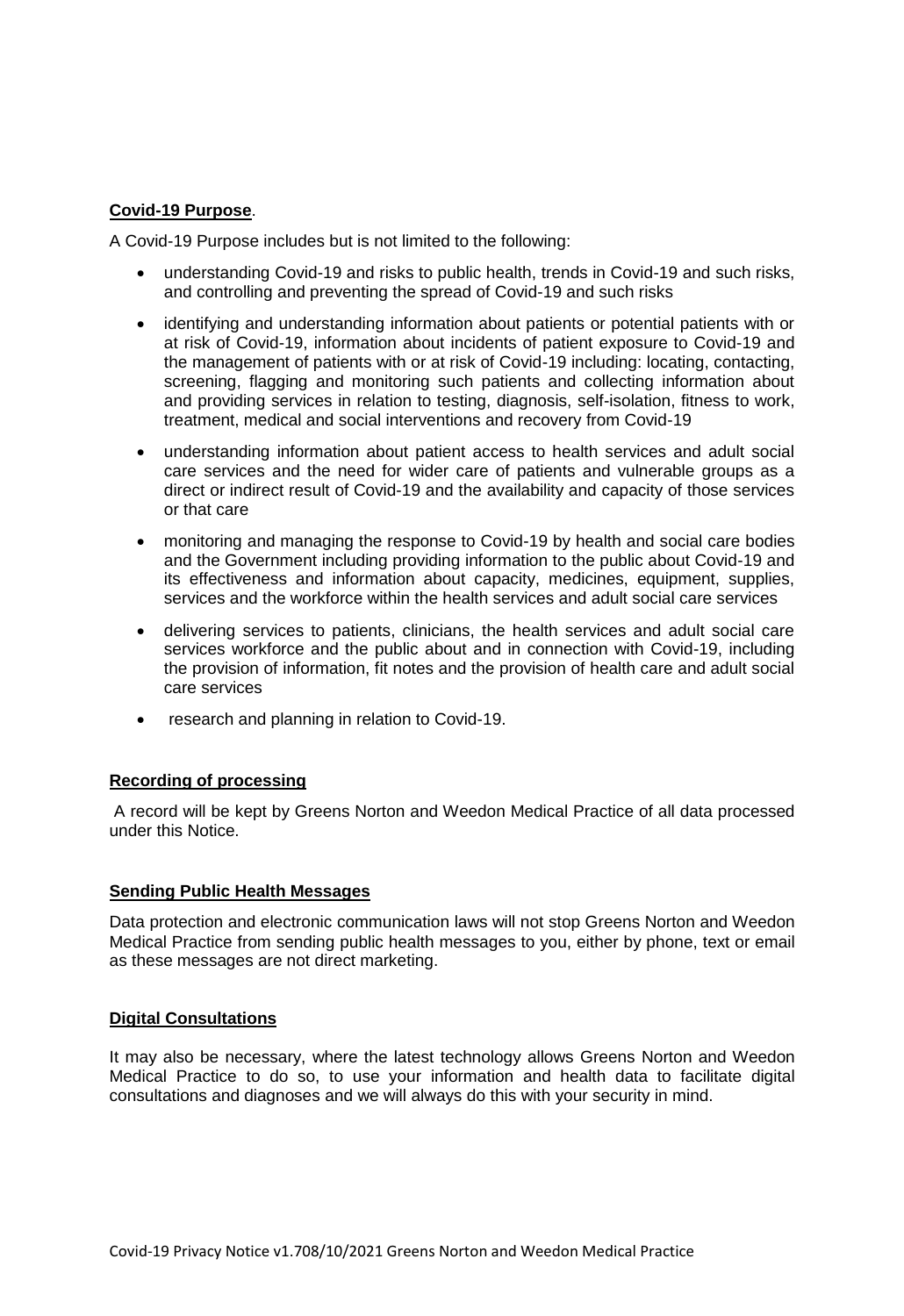### **Covid-19 Purpose**.

A Covid-19 Purpose includes but is not limited to the following:

- understanding Covid-19 and risks to public health, trends in Covid-19 and such risks, and controlling and preventing the spread of Covid-19 and such risks
- identifying and understanding information about patients or potential patients with or at risk of Covid-19, information about incidents of patient exposure to Covid-19 and the management of patients with or at risk of Covid-19 including: locating, contacting, screening, flagging and monitoring such patients and collecting information about and providing services in relation to testing, diagnosis, self-isolation, fitness to work, treatment, medical and social interventions and recovery from Covid-19
- understanding information about patient access to health services and adult social care services and the need for wider care of patients and vulnerable groups as a direct or indirect result of Covid-19 and the availability and capacity of those services or that care
- monitoring and managing the response to Covid-19 by health and social care bodies and the Government including providing information to the public about Covid-19 and its effectiveness and information about capacity, medicines, equipment, supplies, services and the workforce within the health services and adult social care services
- delivering services to patients, clinicians, the health services and adult social care the provision of information, fit notes and the provision of health care and adult social services workforce and the public about and in connection with Covid-19, including care services
- research and planning in relation to Covid-19.

#### **Recording of processing**

 A record will be kept by Greens Norton and Weedon Medical Practice of all data processed under this Notice.

#### **Sending Public Health Messages**

 Data protection and electronic communication laws will not stop Greens Norton and Weedon Medical Practice from sending public health messages to you, either by phone, text or email as these messages are not direct marketing.

#### **Digital Consultations**

 It may also be necessary, where the latest technology allows Greens Norton and Weedon Medical Practice to do so, to use your information and health data to facilitate digital consultations and diagnoses and we will always do this with your security in mind.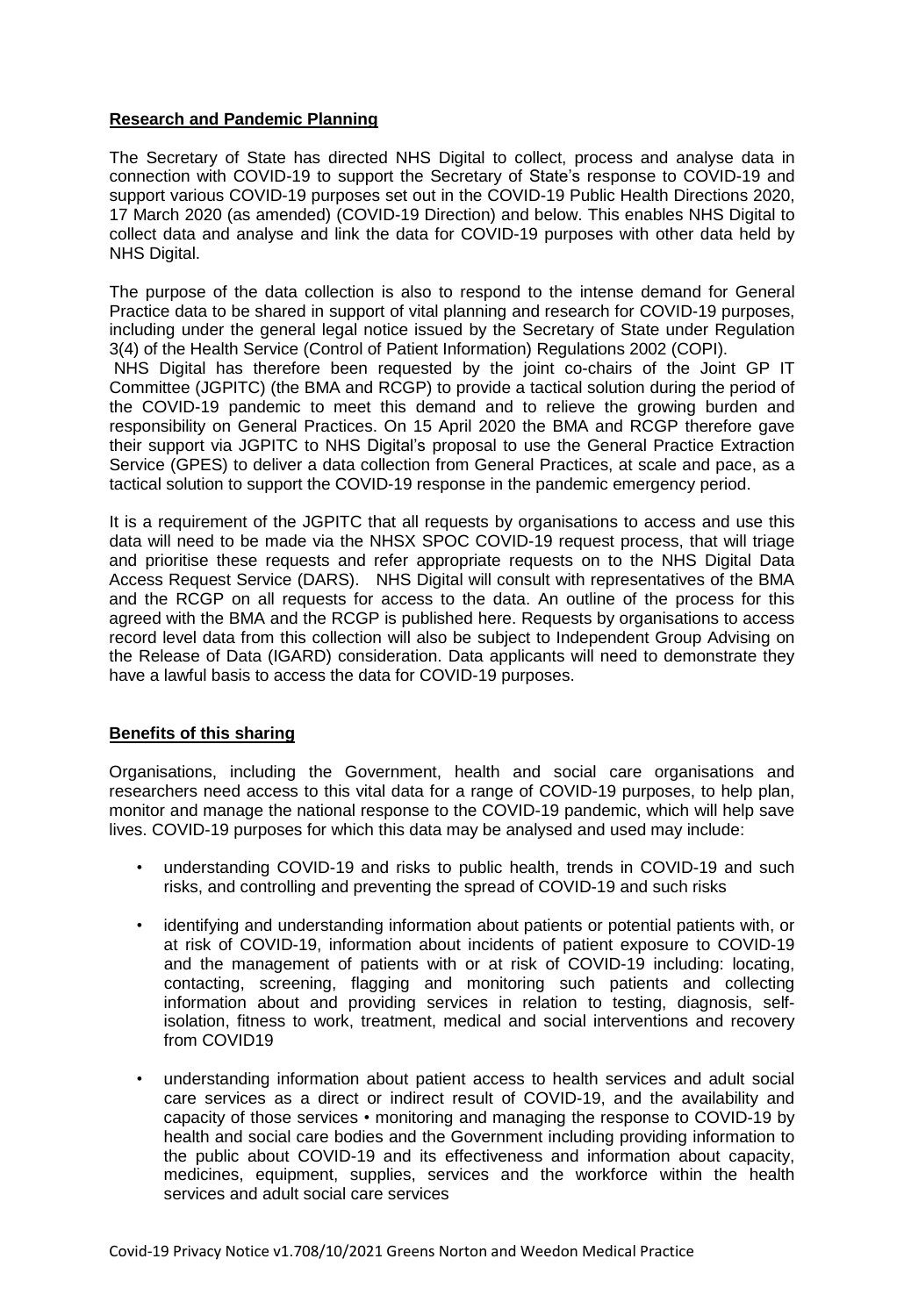# **Research and Pandemic Planning**

 The Secretary of State has directed NHS Digital to collect, process and analyse data in connection with COVID-19 to support the Secretary of State's response to COVID-19 and support various COVID-19 purposes set out in the COVID-19 Public Health Directions 2020, 17 March 2020 (as amended) (COVID-19 Direction) and below. This enables NHS Digital to collect data and analyse and link the data for COVID-19 purposes with other data held by NHS Digital.

NHS Digital.<br>The purpose of the data collection is also to respond to the intense demand for General Practice data to be shared in support of vital planning and research for COVID-19 purposes, including under the general legal notice issued by the Secretary of State under Regulation 3(4) of the Health Service (Control of Patient Information) Regulations 2002 (COPI).

 NHS Digital has therefore been requested by the joint co-chairs of the Joint GP IT Committee (JGPITC) (the BMA and RCGP) to provide a tactical solution during the period of the COVID-19 pandemic to meet this demand and to relieve the growing burden and responsibility on General Practices. On 15 April 2020 the BMA and RCGP therefore gave their support via JGPITC to NHS Digital's proposal to use the General Practice Extraction Service (GPES) to deliver a data collection from General Practices, at scale and pace, as a tactical solution to support the COVID-19 response in the pandemic emergency period.

 It is a requirement of the JGPITC that all requests by organisations to access and use this data will need to be made via the NHSX SPOC COVID-19 request process, that will triage and prioritise these requests and refer appropriate requests on to the NHS Digital Data Access Request Service (DARS). NHS Digital will consult with representatives of the BMA and the RCGP on all requests for access to the data. An outline of the process for this agreed with the BMA and the RCGP is published here. Requests by organisations to access record level data from this collection will also be subject to Independent Group Advising on the Release of Data (IGARD) consideration. Data applicants will need to demonstrate they have a lawful basis to access the data for COVID-19 purposes.

#### **Benefits of this sharing**

 Organisations, including the Government, health and social care organisations and researchers need access to this vital data for a range of COVID-19 purposes, to help plan, monitor and manage the national response to the COVID-19 pandemic, which will help save lives. COVID-19 purposes for which this data may be analysed and used may include:

- • understanding COVID-19 and risks to public health, trends in COVID-19 and such risks, and controlling and preventing the spread of COVID-19 and such risks
- • identifying and understanding information about patients or potential patients with, or at risk of COVID-19, information about incidents of patient exposure to COVID-19 and the management of patients with or at risk of COVID-19 including: locating, contacting, screening, flagging and monitoring such patients and collecting information about and providing services in relation to testing, diagnosis, self- isolation, fitness to work, treatment, medical and social interventions and recovery from COVID19
- • understanding information about patient access to health services and adult social care services as a direct or indirect result of COVID-19, and the availability and capacity of those services • monitoring and managing the response to COVID-19 by health and social care bodies and the Government including providing information to the public about COVID-19 and its effectiveness and information about capacity, medicines, equipment, supplies, services and the workforce within the health services and adult social care services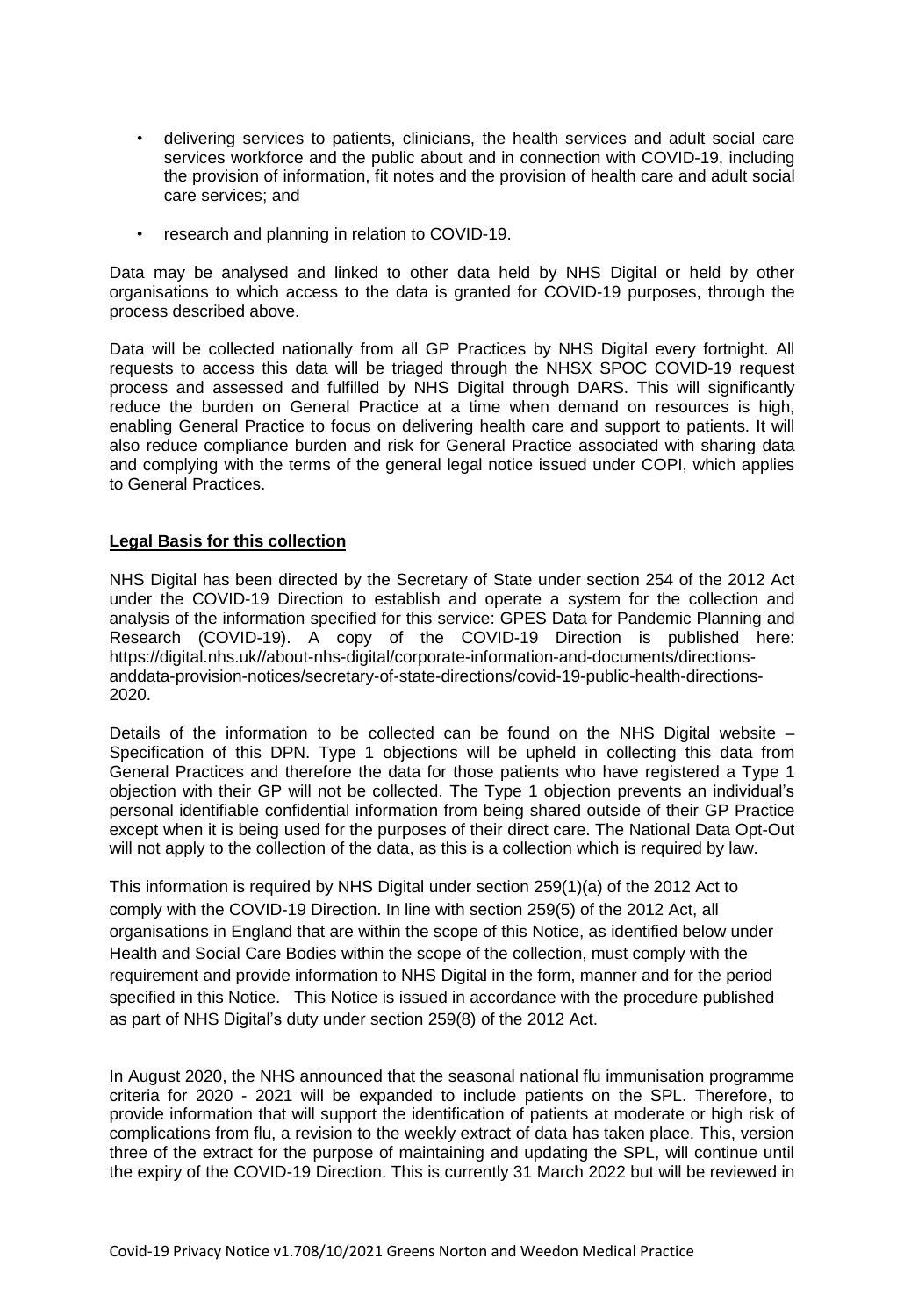- • delivering services to patients, clinicians, the health services and adult social care services workforce and the public about and in connection with COVID-19, including the provision of information, fit notes and the provision of health care and adult social care services; and
- research and planning in relation to COVID-19.

 Data may be analysed and linked to other data held by NHS Digital or held by other organisations to which access to the data is granted for COVID-19 purposes, through the process described above.

 Data will be collected nationally from all GP Practices by NHS Digital every fortnight. All requests to access this data will be triaged through the NHSX SPOC COVID-19 request process and assessed and fulfilled by NHS Digital through DARS. This will significantly reduce the burden on General Practice at a time when demand on resources is high, enabling General Practice to focus on delivering health care and support to patients. It will also reduce compliance burden and risk for General Practice associated with sharing data and complying with the terms of the general legal notice issued under COPI, which applies to General Practices.

## **Legal Basis for this collection**

 NHS Digital has been directed by the Secretary of State under section 254 of the 2012 Act under the COVID-19 Direction to establish and operate a system for the collection and analysis of the information specified for this service: GPES Data for Pandemic Planning and Research (COVID-19). A copy of the COVID-19 Direction is published here: 2020. <https://digital.nhs.uk//about-nhs-digital/corporate-information-and-documents/directions>anddata-provision-notices/secretary-of-state-directions/covid-19-public-health-directions-

2020.<br>Details of the information to be collected can be found on the NHS Digital website – Specification of this DPN. Type 1 objections will be upheld in collecting this data from General Practices and therefore the data for those patients who have registered a Type 1 objection with their GP will not be collected. The Type 1 objection prevents an individual's personal identifiable confidential information from being shared outside of their GP Practice except when it is being used for the purposes of their direct care. The National Data Opt-Out will not apply to the collection of the data, as this is a collection which is required by law.

 This information is required by NHS Digital under section 259(1)(a) of the 2012 Act to comply with the COVID-19 Direction. In line with section 259(5) of the 2012 Act, all organisations in England that are within the scope of this Notice, as identified below under Health and Social Care Bodies within the scope of the collection, must comply with the requirement and provide information to NHS Digital in the form, manner and for the period specified in this Notice. This Notice is issued in accordance with the procedure published as part of NHS Digital's duty under section 259(8) of the 2012 Act.

 In August 2020, the NHS announced that the seasonal national flu immunisation programme criteria for 2020 - 2021 will be expanded to include patients on the SPL. Therefore, to provide information that will support the identification of patients at moderate or high risk of complications from flu, a revision to the weekly extract of data has taken place. This, version three of the extract for the purpose of maintaining and updating the SPL, will continue until the expiry of the COVID-19 Direction. This is currently 31 March 2022 but will be reviewed in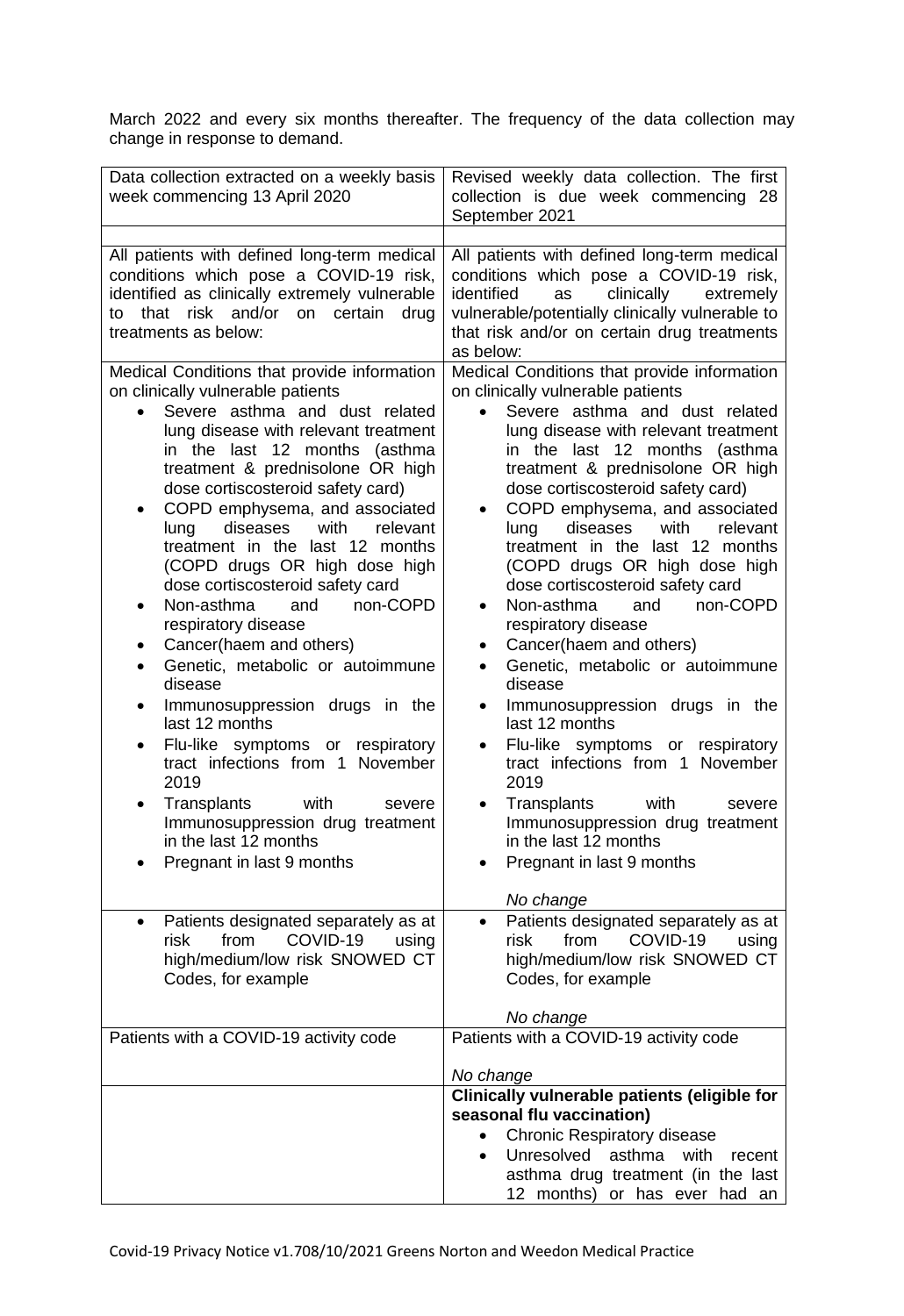March 2022 and every six months thereafter. The frequency of the data collection may change in response to demand.

| Data collection extracted on a weekly basis<br>week commencing 13 April 2020                                                                                                                                                                                                                                                                                                                                                                                                                                                                                                                                                                                                                                                                                                                                                                                                                                                                                                         | Revised weekly data collection. The first<br>collection is due week commencing 28<br>September 2021                                                                                                                                                                                                                                                                                                                                                                                                                                                                                                                                                                                                                                                                                                                                                                                                                                                                                                                                           |
|--------------------------------------------------------------------------------------------------------------------------------------------------------------------------------------------------------------------------------------------------------------------------------------------------------------------------------------------------------------------------------------------------------------------------------------------------------------------------------------------------------------------------------------------------------------------------------------------------------------------------------------------------------------------------------------------------------------------------------------------------------------------------------------------------------------------------------------------------------------------------------------------------------------------------------------------------------------------------------------|-----------------------------------------------------------------------------------------------------------------------------------------------------------------------------------------------------------------------------------------------------------------------------------------------------------------------------------------------------------------------------------------------------------------------------------------------------------------------------------------------------------------------------------------------------------------------------------------------------------------------------------------------------------------------------------------------------------------------------------------------------------------------------------------------------------------------------------------------------------------------------------------------------------------------------------------------------------------------------------------------------------------------------------------------|
| All patients with defined long-term medical<br>conditions which pose a COVID-19 risk,<br>identified as clinically extremely vulnerable<br>that<br>risk and/or<br>certain<br>drug<br>on<br>to<br>treatments as below:<br>Medical Conditions that provide information                                                                                                                                                                                                                                                                                                                                                                                                                                                                                                                                                                                                                                                                                                                  | All patients with defined long-term medical<br>conditions which pose a COVID-19 risk,<br>identified<br>clinically<br>as<br>extremely<br>vulnerable/potentially clinically vulnerable to<br>that risk and/or on certain drug treatments<br>as below:<br>Medical Conditions that provide information                                                                                                                                                                                                                                                                                                                                                                                                                                                                                                                                                                                                                                                                                                                                            |
| on clinically vulnerable patients<br>Severe asthma and dust related<br>lung disease with relevant treatment<br>in the last 12 months<br>(asthma<br>treatment & prednisolone OR high<br>dose cortiscosteroid safety card)<br>COPD emphysema, and associated<br>٠<br>with<br>diseases<br>relevant<br>lung<br>treatment in the last 12 months<br>(COPD drugs OR high dose high<br>dose cortiscosteroid safety card<br>Non-asthma<br>non-COPD<br>and<br>$\bullet$<br>respiratory disease<br>Cancer(haem and others)<br>Genetic, metabolic or autoimmune<br>disease<br>Immunosuppression drugs in the<br>$\bullet$<br>last 12 months<br>Flu-like symptoms or respiratory<br>tract infections from 1 November<br>2019<br>Transplants<br>with<br>severe<br>Immunosuppression drug treatment<br>in the last 12 months<br>Pregnant in last 9 months<br>Patients designated separately as at<br>٠<br>COVID-19<br>risk<br>from<br>using<br>high/medium/low risk SNOWED CT<br>Codes, for example | on clinically vulnerable patients<br>Severe asthma and dust related<br>lung disease with relevant treatment<br>in the last 12 months (asthma<br>treatment & prednisolone OR high<br>dose cortiscosteroid safety card)<br>COPD emphysema, and associated<br>with<br>diseases<br>relevant<br>lung<br>treatment in the last 12 months<br>(COPD drugs OR high dose high<br>dose cortiscosteroid safety card<br>Non-asthma<br>non-COPD<br>and<br>$\bullet$<br>respiratory disease<br>Cancer(haem and others)<br>٠<br>Genetic, metabolic or autoimmune<br>disease<br>Immunosuppression drugs in the<br>$\bullet$<br>last 12 months<br>Flu-like symptoms or respiratory<br>$\bullet$<br>tract infections from 1 November<br>2019<br>Transplants<br>with<br>severe<br>$\bullet$<br>Immunosuppression drug treatment<br>in the last 12 months<br>Pregnant in last 9 months<br>No change<br>Patients designated separately as at<br>$\bullet$<br>COVID-19<br>from<br>risk<br>using<br>high/medium/low risk SNOWED CT<br>Codes, for example<br>No change |
| Patients with a COVID-19 activity code                                                                                                                                                                                                                                                                                                                                                                                                                                                                                                                                                                                                                                                                                                                                                                                                                                                                                                                                               | Patients with a COVID-19 activity code                                                                                                                                                                                                                                                                                                                                                                                                                                                                                                                                                                                                                                                                                                                                                                                                                                                                                                                                                                                                        |
|                                                                                                                                                                                                                                                                                                                                                                                                                                                                                                                                                                                                                                                                                                                                                                                                                                                                                                                                                                                      | No change<br>Clinically vulnerable patients (eligible for<br>seasonal flu vaccination)<br><b>Chronic Respiratory disease</b><br>$\bullet$<br>Unresolved asthma with<br>recent<br>$\bullet$<br>asthma drug treatment (in the last<br>12 months) or has ever had an                                                                                                                                                                                                                                                                                                                                                                                                                                                                                                                                                                                                                                                                                                                                                                             |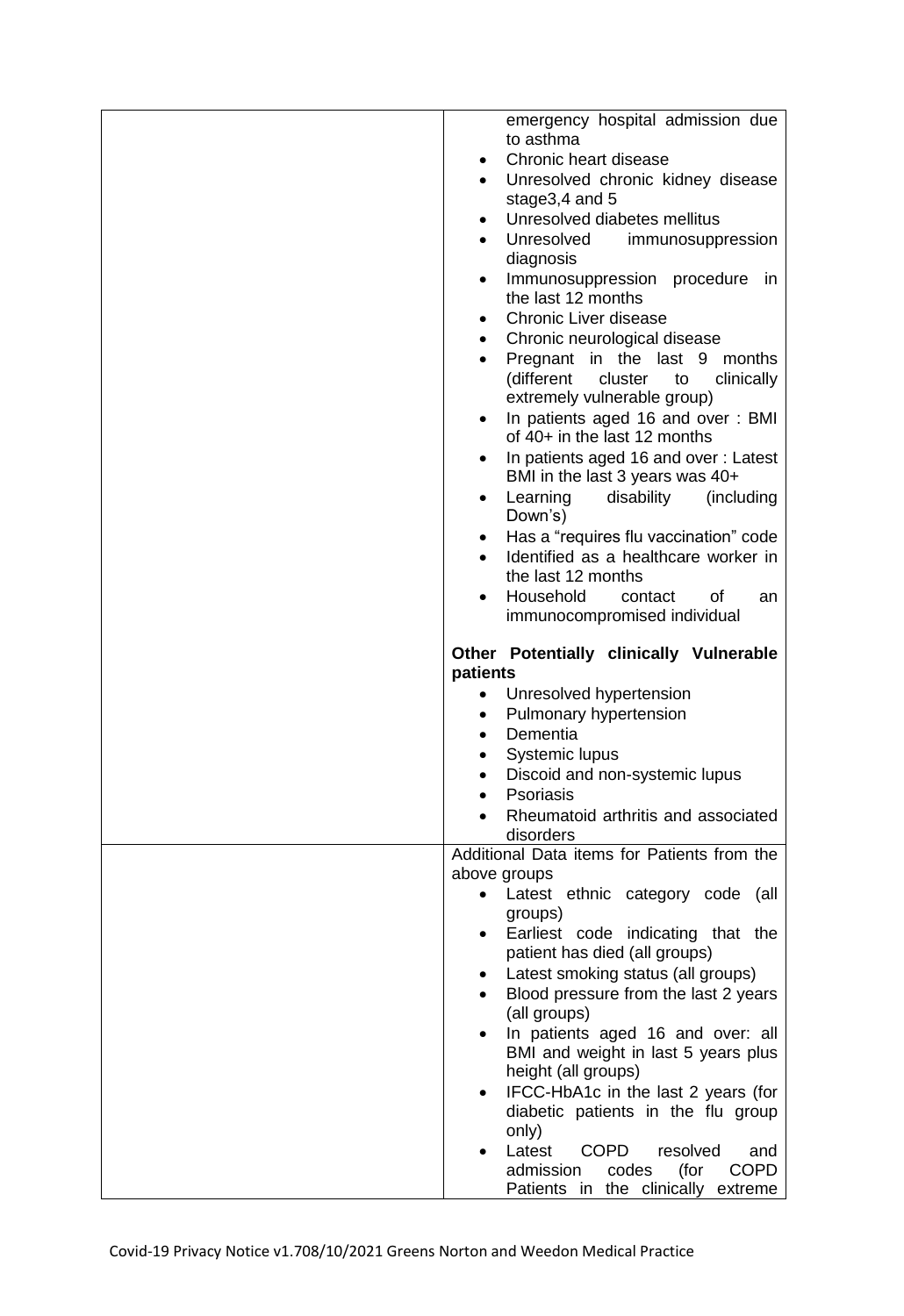| emergency hospital admission due<br>to asthma                                         |
|---------------------------------------------------------------------------------------|
| Chronic heart disease<br>$\bullet$                                                    |
| Unresolved chronic kidney disease<br>$\bullet$                                        |
| stage3,4 and 5                                                                        |
| Unresolved diabetes mellitus<br>$\bullet$                                             |
| Unresolved<br>immunosuppression<br>$\bullet$                                          |
| diagnosis                                                                             |
| Immunosuppression procedure in                                                        |
| the last 12 months                                                                    |
| Chronic Liver disease<br>$\bullet$                                                    |
| Chronic neurological disease<br>$\bullet$                                             |
| Pregnant in the last 9 months                                                         |
| (different<br>clinically<br>cluster<br>to                                             |
| extremely vulnerable group)                                                           |
| In patients aged 16 and over: BMI<br>٠<br>of 40+ in the last 12 months                |
| In patients aged 16 and over: Latest<br>$\bullet$                                     |
| BMI in the last 3 years was 40+                                                       |
| Learning<br>disability<br>(including<br>$\bullet$<br>Down's)                          |
| Has a "requires flu vaccination" code<br>$\bullet$                                    |
| Identified as a healthcare worker in                                                  |
| the last 12 months                                                                    |
| Household<br>contact<br>of<br>an                                                      |
| immunocompromised individual                                                          |
| Other Potentially clinically Vulnerable<br>patients                                   |
| Unresolved hypertension<br>$\bullet$                                                  |
| Pulmonary hypertension<br>$\bullet$                                                   |
| Dementia<br>$\bullet$                                                                 |
| Systemic lupus                                                                        |
| Discoid and non-systemic lupus<br>$\bullet$                                           |
| Psoriasis                                                                             |
| Rheumatoid arthritis and associated                                                   |
| disorders                                                                             |
| Additional Data items for Patients from the                                           |
| above groups<br>Latest ethnic category code (all<br>$\bullet$                         |
| groups)                                                                               |
| Earliest code indicating that the                                                     |
| patient has died (all groups)                                                         |
| Latest smoking status (all groups)                                                    |
| Blood pressure from the last 2 years                                                  |
| (all groups)                                                                          |
| In patients aged 16 and over: all                                                     |
| BMI and weight in last 5 years plus                                                   |
| height (all groups)                                                                   |
|                                                                                       |
| IFCC-HbA1c in the last 2 years (for                                                   |
| diabetic patients in the flu group                                                    |
| only)                                                                                 |
| <b>COPD</b><br>Latest<br>resolved<br>and<br>(for<br><b>COPD</b><br>admission<br>codes |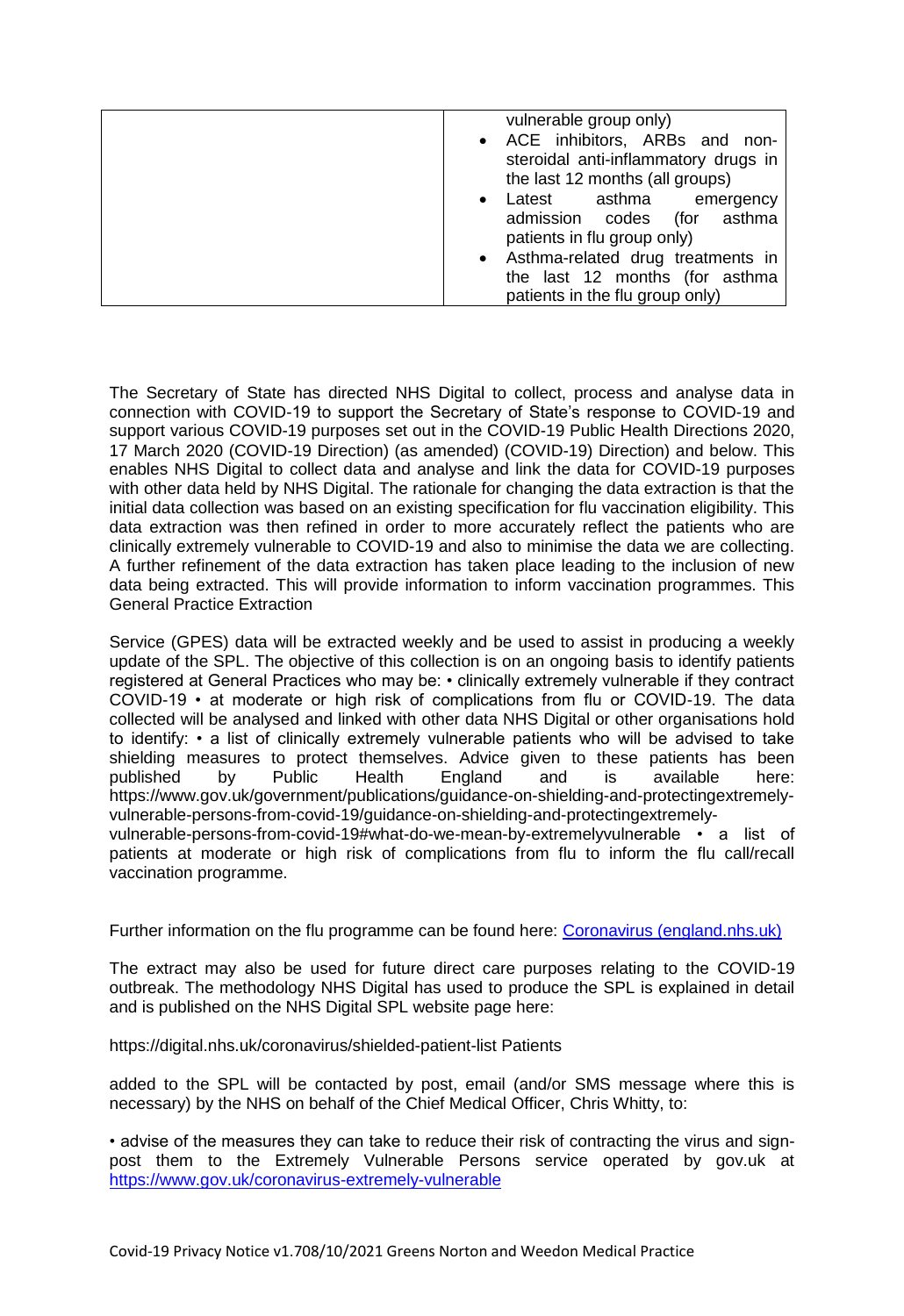| vulnerable group only)<br>• ACE inhibitors, ARBs and non-<br>steroidal anti-inflammatory drugs in<br>the last 12 months (all groups) |
|--------------------------------------------------------------------------------------------------------------------------------------|
| asthma<br>Latest<br>emergency<br>$\bullet$<br>admission codes<br>(for asthma<br>patients in flu group only)                          |
| • Asthma-related drug treatments in<br>the last 12 months (for asthma<br>patients in the flu group only)                             |

 The Secretary of State has directed NHS Digital to collect, process and analyse data in connection with COVID-19 to support the Secretary of State's response to COVID-19 and support various COVID-19 purposes set out in the COVID-19 Public Health Directions 2020, 17 March 2020 (COVID-19 Direction) (as amended) (COVID-19) Direction) and below. This enables NHS Digital to collect data and analyse and link the data for COVID-19 purposes with other data held by NHS Digital. The rationale for changing the data extraction is that the initial data collection was based on an existing specification for flu vaccination eligibility. This data extraction was then refined in order to more accurately reflect the patients who are clinically extremely vulnerable to COVID-19 and also to minimise the data we are collecting. A further refinement of the data extraction has taken place leading to the inclusion of new data being extracted. This will provide information to inform vaccination programmes. This General Practice Extraction

 Service (GPES) data will be extracted weekly and be used to assist in producing a weekly update of the SPL. The objective of this collection is on an ongoing basis to identify patients registered at General Practices who may be: • clinically extremely vulnerable if they contract COVID-19 • at moderate or high risk of complications from flu or COVID-19. The data collected will be analysed and linked with other data NHS Digital or other organisations hold to identify: • a list of clinically extremely vulnerable patients who will be advised to take shielding measures to protect themselves. Advice given to these patients has been published by Public Health England and is available here: <https://www.gov.uk/government/publications/guidance-on-shielding-and-protectingextremely>vulnerable-persons-from-covid-19/guidance-on-shielding-and-protectingextremely-

 vulnerable-persons-from-covid-19#what-do-we-mean-by-extremelyvulnerable • a list of patients at moderate or high risk of complications from flu to inform the flu call/recall vaccination programme.

vaccination programme.<br>Further information on the flu programme can be found here: <u>Coronavirus (england.nhs.uk)</u>

 The extract may also be used for future direct care purposes relating to the COVID-19 outbreak. The methodology NHS Digital has used to produce the SPL is explained in detail and is published on the NHS Digital SPL website page here:

<https://digital.nhs.uk/coronavirus/shielded-patient-list> Patients

 added to the SPL will be contacted by post, email (and/or SMS message where this is necessary) by the NHS on behalf of the Chief Medical Officer, Chris Whitty, to:

 • advise of the measures they can take to reduce their risk of contracting the virus and sign- post them to the Extremely Vulnerable Persons service operated by gov.uk at <https://www.gov.uk/coronavirus-extremely-vulnerable>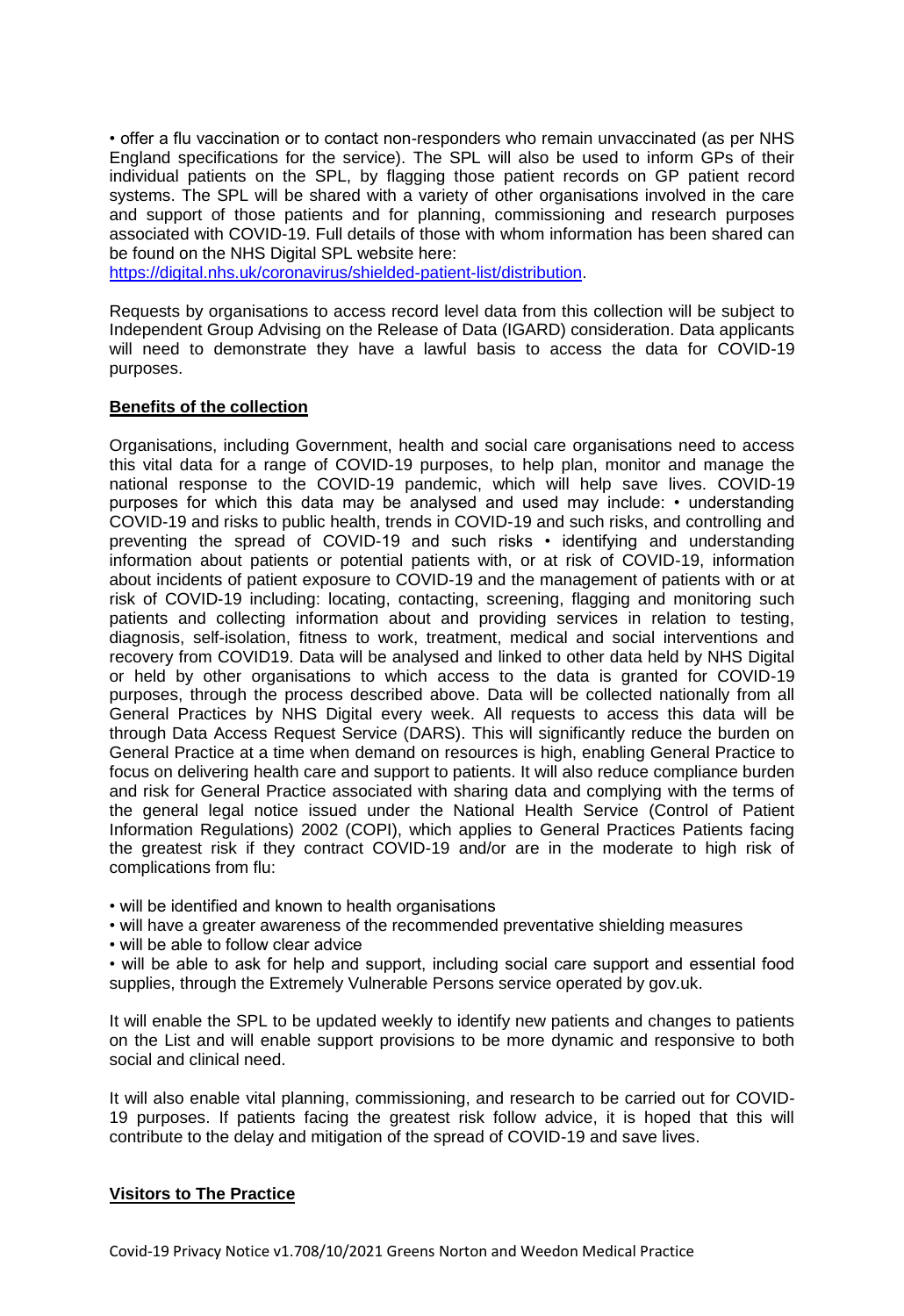• offer a flu vaccination or to contact non-responders who remain unvaccinated (as per NHS England specifications for the service). The SPL will also be used to inform GPs of their individual patients on the SPL, by flagging those patient records on GP patient record systems. The SPL will be shared with a variety of other organisations involved in the care and support of those patients and for planning, commissioning and research purposes associated with COVID-19. Full details of those with whom information has been shared can be found on the NHS Digital SPL website here:

[https://digital.nhs.uk/coronavirus/shielded-patient-list/distribution.](https://digital.nhs.uk/coronavirus/shielded-patient-list/distribution)

 Requests by organisations to access record level data from this collection will be subject to Independent Group Advising on the Release of Data (IGARD) consideration. Data applicants will need to demonstrate they have a lawful basis to access the data for COVID-19 purposes.

## **Benefits of the collection**

 Organisations, including Government, health and social care organisations need to access this vital data for a range of COVID-19 purposes, to help plan, monitor and manage the national response to the COVID-19 pandemic, which will help save lives. COVID-19 purposes for which this data may be analysed and used may include: • understanding COVID-19 and risks to public health, trends in COVID-19 and such risks, and controlling and preventing the spread of COVID-19 and such risks • identifying and understanding information about patients or potential patients with, or at risk of COVID-19, information about incidents of patient exposure to COVID-19 and the management of patients with or at risk of COVID-19 including: locating, contacting, screening, flagging and monitoring such patients and collecting information about and providing services in relation to testing, diagnosis, self-isolation, fitness to work, treatment, medical and social interventions and recovery from COVID19. Data will be analysed and linked to other data held by NHS Digital or held by other organisations to which access to the data is granted for COVID-19 purposes, through the process described above. Data will be collected nationally from all General Practices by NHS Digital every week. All requests to access this data will be through Data Access Request Service (DARS). This will significantly reduce the burden on General Practice at a time when demand on resources is high, enabling General Practice to focus on delivering health care and support to patients. It will also reduce compliance burden and risk for General Practice associated with sharing data and complying with the terms of the general legal notice issued under the National Health Service (Control of Patient Information Regulations) 2002 (COPI), which applies to General Practices Patients facing the greatest risk if they contract COVID-19 and/or are in the moderate to high risk of complications from flu:

• will be identified and known to health organisations

- will have a greater awareness of the recommended preventative shielding measures
- will be able to follow clear advice

 • will be able to ask for help and support, including social care support and essential food supplies, through the Extremely Vulnerable Persons service operated by gov.uk.

 It will enable the SPL to be updated weekly to identify new patients and changes to patients on the List and will enable support provisions to be more dynamic and responsive to both social and clinical need.

 It will also enable vital planning, commissioning, and research to be carried out for COVID- 19 purposes. If patients facing the greatest risk follow advice, it is hoped that this will contribute to the delay and mitigation of the spread of COVID-19 and save lives.

#### **Visitors to The Practice**